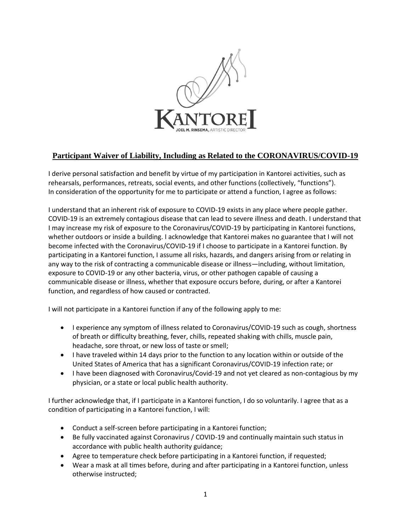

## **Participant Waiver of Liability, Including as Related to the CORONAVIRUS/COVID-19**

I derive personal satisfaction and benefit by virtue of my participation in Kantorei activities, such as rehearsals, performances, retreats, social events, and other functions (collectively, "functions"). In consideration of the opportunity for me to participate or attend a function, I agree as follows:

I understand that an inherent risk of exposure to COVID-19 exists in any place where people gather. COVID-19 is an extremely contagious disease that can lead to severe illness and death. I understand that I may increase my risk of exposure to the Coronavirus/COVID-19 by participating in Kantorei functions, whether outdoors or inside a building. I acknowledge that Kantorei makes no guarantee that I will not become infected with the Coronavirus/COVID-19 if I choose to participate in a Kantorei function. By participating in a Kantorei function, I assume all risks, hazards, and dangers arising from or relating in any way to the risk of contracting a communicable disease or illness—including, without limitation, exposure to COVID-19 or any other bacteria, virus, or other pathogen capable of causing a communicable disease or illness, whether that exposure occurs before, during, or after a Kantorei function, and regardless of how caused or contracted.

I will not participate in a Kantorei function if any of the following apply to me:

- I experience any symptom of illness related to Coronavirus/COVID-19 such as cough, shortness of breath or difficulty breathing, fever, chills, repeated shaking with chills, muscle pain, headache, sore throat, or new loss of taste or smell;
- I have traveled within 14 days prior to the function to any location within or outside of the United States of America that has a significant Coronavirus/COVID-19 infection rate; or
- I have been diagnosed with Coronavirus/Covid-19 and not yet cleared as non-contagious by my physician, or a state or local public health authority.

I further acknowledge that, if I participate in a Kantorei function, I do so voluntarily. I agree that as a condition of participating in a Kantorei function, I will:

- Conduct a self-screen before participating in a Kantorei function;
- Be fully vaccinated against Coronavirus / COVID-19 and continually maintain such status in accordance with public health authority guidance;
- Agree to temperature check before participating in a Kantorei function, if requested;
- Wear a mask at all times before, during and after participating in a Kantorei function, unless otherwise instructed;